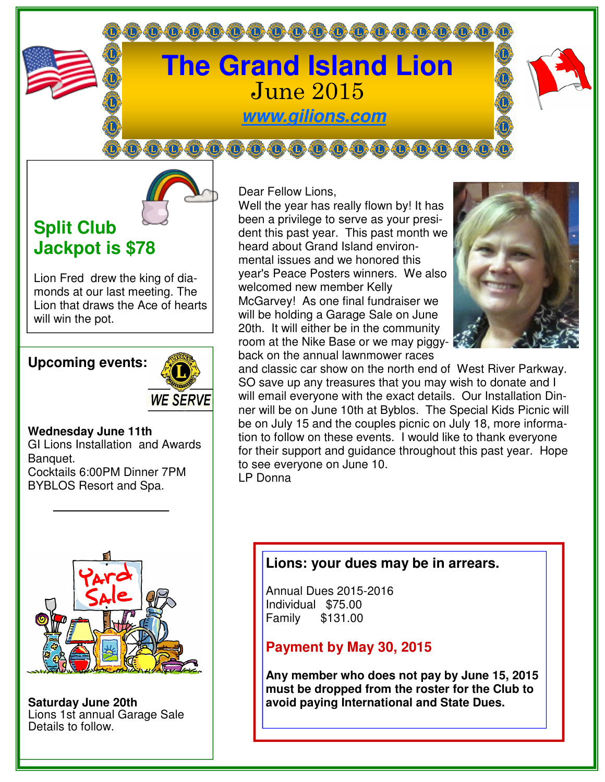# **The Grand Island Lion**  June 2015 **www.gilions.com**

**000000000000000000** 

000000000000000000000

## **Split Club Jackpot is \$78**

Lion Fred drew the king of diamonds at our last meeting. The Lion that draws the Ace of hearts will win the pot.

### **Upcoming events:**



#### **Wednesday June 11th**

GI Lions Installation and Awards Banquet. Cocktails 6:00PM Dinner 7PM BYBLOS Resort and Spa.



**Saturday June 20th**  Lions 1st annual Garage Sale Details to follow.

Dear Fellow Lions,

Well the year has really flown by! It has been a privilege to serve as your president this past year. This past month we heard about Grand Island environmental issues and we honored this year's Peace Posters winners. We also welcomed new member Kelly McGarvey! As one final fundraiser we will be holding a Garage Sale on June 20th. It will either be in the community room at the Nike Base or we may piggyback on the annual lawnmower races



and classic car show on the north end of West River Parkway. SO save up any treasures that you may wish to donate and I will email everyone with the exact details. Our Installation Dinner will be on June 10th at Byblos. The Special Kids Picnic will be on July 15 and the couples picnic on July 18, more information to follow on these events. I would like to thank everyone for their support and guidance throughout this past year. Hope to see everyone on June 10.

LP Donna

## **Lions: your dues may be in arrears.**

Annual Dues 2015-2016 Individual \$75.00 Family \$131.00

## **Payment by May 30, 2015**

**Any member who does not pay by June 15, 2015 must be dropped from the roster for the Club to avoid paying International and State Dues.**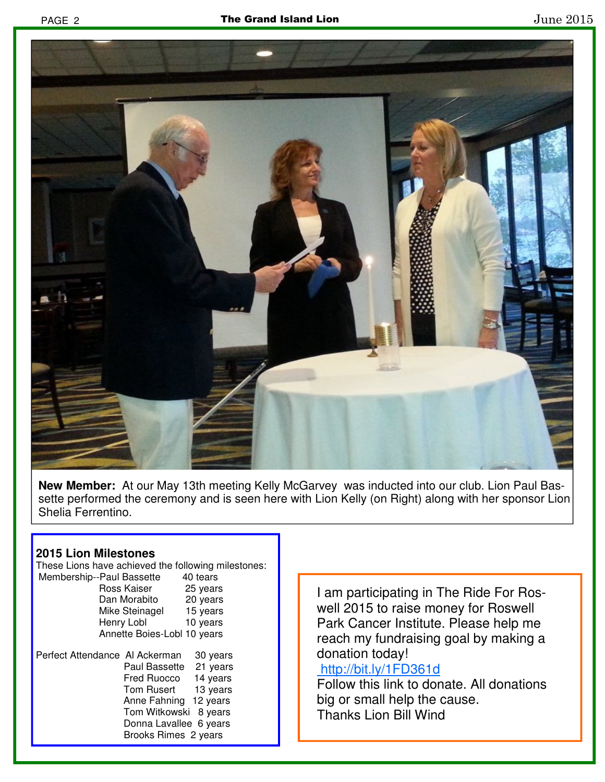

**New Member:** At our May 13th meeting Kelly McGarvey was inducted into our club. Lion Paul Bassette performed the ceremony and is seen here with Lion Kelly (on Right) along with her sponsor Lion Shelia Ferrentino.

#### **2015 Lion Milestones**

These Lions have achieved the following milestones: Membership--Paul Bassette 40 tears Ross Kaiser 25 years Dan Morabito 20 years Mike Steinagel 15 years Henry Lobl 10 years Annette Boies-Lobl 10 years Perfect Attendance Al Ackerman 30 years Paul Bassette 21 years Fred Ruocco 14 years Tom Rusert 13 years Anne Fahning 12 years Tom Witkowski 8 years Donna Lavallee 6 years Brooks Rimes 2 years

I am participating in The Ride For Roswell 2015 to raise money for Roswell Park Cancer Institute. Please help me reach my fundraising goal by making a donation today!

#### http://bit.ly/1FD361d

Follow this link to donate. All donations big or small help the cause. Thanks Lion Bill Wind